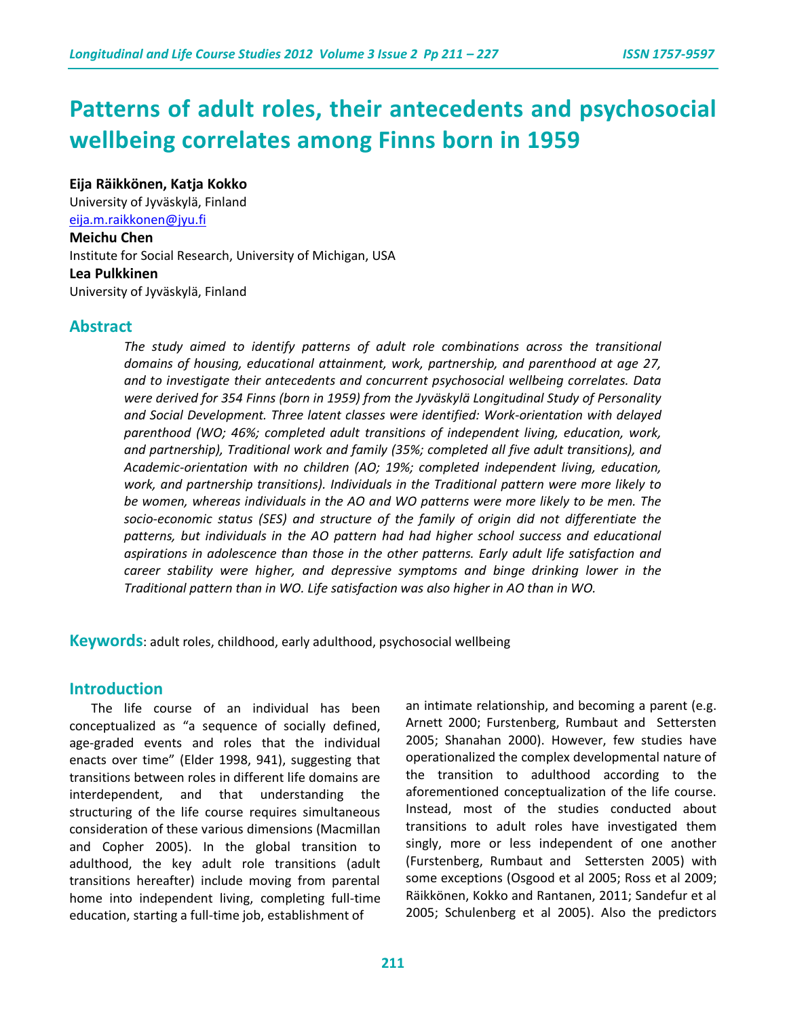# **Patterns of adult roles, their antecedents and psychosocial wellbeing correlates among Finns born in 1959**

**Eija Räikkönen, Katja Kokko** 

University of Jyväskylä, Finland [eija.m.raikkonen@jyu.fi](mailto:eija.m.raikkonen@jyu.fi)

#### **Meichu Chen**

Institute for Social Research, University of Michigan, USA **Lea Pulkkinen**

University of Jyväskylä, Finland

## **Abstract**

*The study aimed to identify patterns of adult role combinations across the transitional domains of housing, educational attainment, work, partnership, and parenthood at age 27, and to investigate their antecedents and concurrent psychosocial wellbeing correlates. Data were derived for 354 Finns (born in 1959) from the Jyväskylä Longitudinal Study of Personality and Social Development. Three latent classes were identified: Work-orientation with delayed parenthood (WO; 46%; completed adult transitions of independent living, education, work, and partnership), Traditional work and family (35%; completed all five adult transitions), and Academic-orientation with no children (AO; 19%; completed independent living, education, work, and partnership transitions). Individuals in the Traditional pattern were more likely to be women, whereas individuals in the AO and WO patterns were more likely to be men. The socio-economic status (SES) and structure of the family of origin did not differentiate the*  patterns, but individuals in the AO pattern had had higher school success and educational *aspirations in adolescence than those in the other patterns. Early adult life satisfaction and career stability were higher, and depressive symptoms and binge drinking lower in the Traditional pattern than in WO. Life satisfaction was also higher in AO than in WO.* 

**Keywords**: adult roles, childhood, early adulthood, psychosocial wellbeing

# **Introduction**

The life course of an individual has been conceptualized as "a sequence of socially defined, age-graded events and roles that the individual enacts over time" (Elder 1998, 941), suggesting that transitions between roles in different life domains are interdependent, and that understanding the structuring of the life course requires simultaneous consideration of these various dimensions (Macmillan and Copher 2005). In the global transition to adulthood, the key adult role transitions (adult transitions hereafter) include moving from parental home into independent living, completing full-time education, starting a full-time job, establishment of

an intimate relationship, and becoming a parent (e.g. Arnett 2000; Furstenberg, Rumbaut and Settersten 2005; Shanahan 2000). However, few studies have operationalized the complex developmental nature of the transition to adulthood according to the aforementioned conceptualization of the life course. Instead, most of the studies conducted about transitions to adult roles have investigated them singly, more or less independent of one another (Furstenberg, Rumbaut and Settersten 2005) with some exceptions (Osgood et al 2005; Ross et al 2009; Räikkönen, Kokko and Rantanen, 2011; Sandefur et al 2005; Schulenberg et al 2005). Also the predictors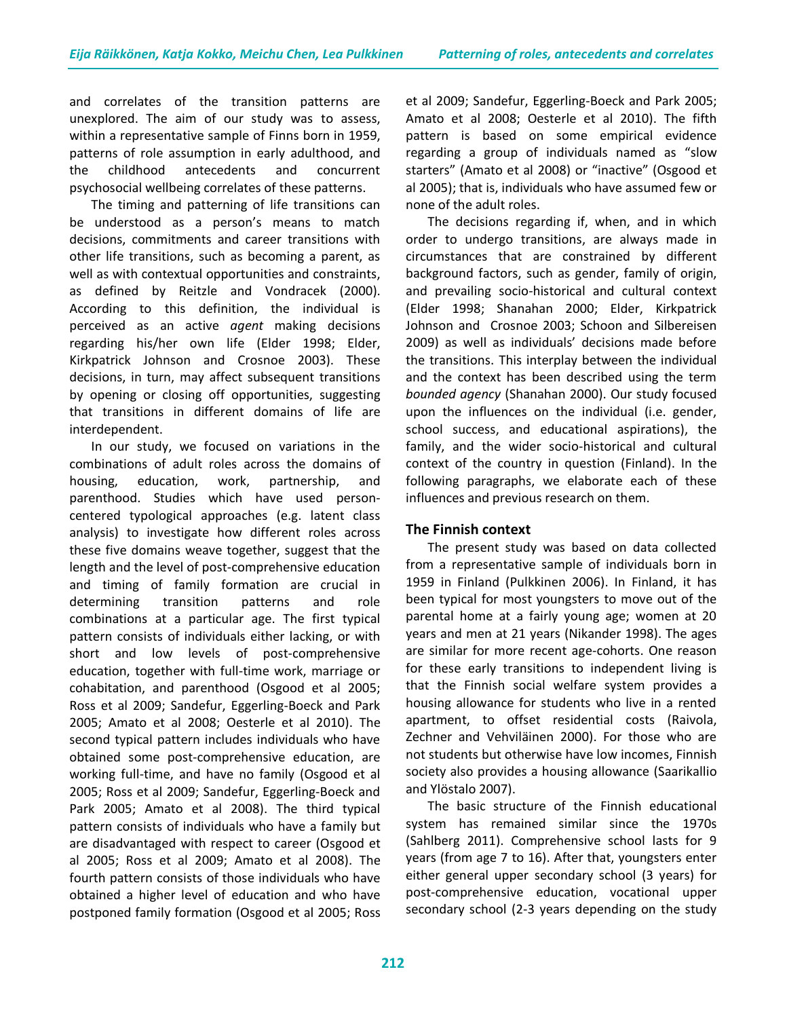and correlates of the transition patterns are unexplored. The aim of our study was to assess, within a representative sample of Finns born in 1959, patterns of role assumption in early adulthood, and the childhood antecedents and concurrent psychosocial wellbeing correlates of these patterns.

The timing and patterning of life transitions can be understood as a person's means to match decisions, commitments and career transitions with other life transitions, such as becoming a parent, as well as with contextual opportunities and constraints, as defined by Reitzle and Vondracek (2000). According to this definition, the individual is perceived as an active *agent* making decisions regarding his/her own life (Elder 1998; Elder, Kirkpatrick Johnson and Crosnoe 2003). These decisions, in turn, may affect subsequent transitions by opening or closing off opportunities, suggesting that transitions in different domains of life are interdependent.

In our study, we focused on variations in the combinations of adult roles across the domains of housing, education, work, partnership, and parenthood. Studies which have used personcentered typological approaches (e.g. latent class analysis) to investigate how different roles across these five domains weave together, suggest that the length and the level of post-comprehensive education and timing of family formation are crucial in determining transition patterns and role combinations at a particular age. The first typical pattern consists of individuals either lacking, or with short and low levels of post-comprehensive education, together with full-time work, marriage or cohabitation, and parenthood (Osgood et al 2005; Ross et al 2009; Sandefur, Eggerling-Boeck and Park 2005; Amato et al 2008; Oesterle et al 2010). The second typical pattern includes individuals who have obtained some post-comprehensive education, are working full-time, and have no family (Osgood et al 2005; Ross et al 2009; Sandefur, Eggerling-Boeck and Park 2005; Amato et al 2008). The third typical pattern consists of individuals who have a family but are disadvantaged with respect to career (Osgood et al 2005; Ross et al 2009; Amato et al 2008). The fourth pattern consists of those individuals who have obtained a higher level of education and who have postponed family formation (Osgood et al 2005; Ross et al 2009; Sandefur, Eggerling-Boeck and Park 2005; Amato et al 2008; Oesterle et al 2010). The fifth pattern is based on some empirical evidence regarding a group of individuals named as "slow starters" (Amato et al 2008) or "inactive" (Osgood et al 2005); that is, individuals who have assumed few or none of the adult roles.

The decisions regarding if, when, and in which order to undergo transitions, are always made in circumstances that are constrained by different background factors, such as gender, family of origin, and prevailing socio-historical and cultural context (Elder 1998; Shanahan 2000; Elder, Kirkpatrick Johnson and Crosnoe 2003; Schoon and Silbereisen 2009) as well as individuals' decisions made before the transitions. This interplay between the individual and the context has been described using the term *bounded agency* (Shanahan 2000). Our study focused upon the influences on the individual (i.e. gender, school success, and educational aspirations), the family, and the wider socio-historical and cultural context of the country in question (Finland). In the following paragraphs, we elaborate each of these influences and previous research on them.

#### **The Finnish context**

The present study was based on data collected from a representative sample of individuals born in 1959 in Finland (Pulkkinen 2006). In Finland, it has been typical for most youngsters to move out of the parental home at a fairly young age; women at 20 years and men at 21 years (Nikander 1998). The ages are similar for more recent age-cohorts. One reason for these early transitions to independent living is that the Finnish social welfare system provides a housing allowance for students who live in a rented apartment, to offset residential costs (Raivola, Zechner and Vehviläinen 2000). For those who are not students but otherwise have low incomes, Finnish society also provides a housing allowance (Saarikallio and Ylöstalo 2007).

The basic structure of the Finnish educational system has remained similar since the 1970s (Sahlberg 2011). Comprehensive school lasts for 9 years (from age 7 to 16). After that, youngsters enter either general upper secondary school (3 years) for post-comprehensive education, vocational upper secondary school (2-3 years depending on the study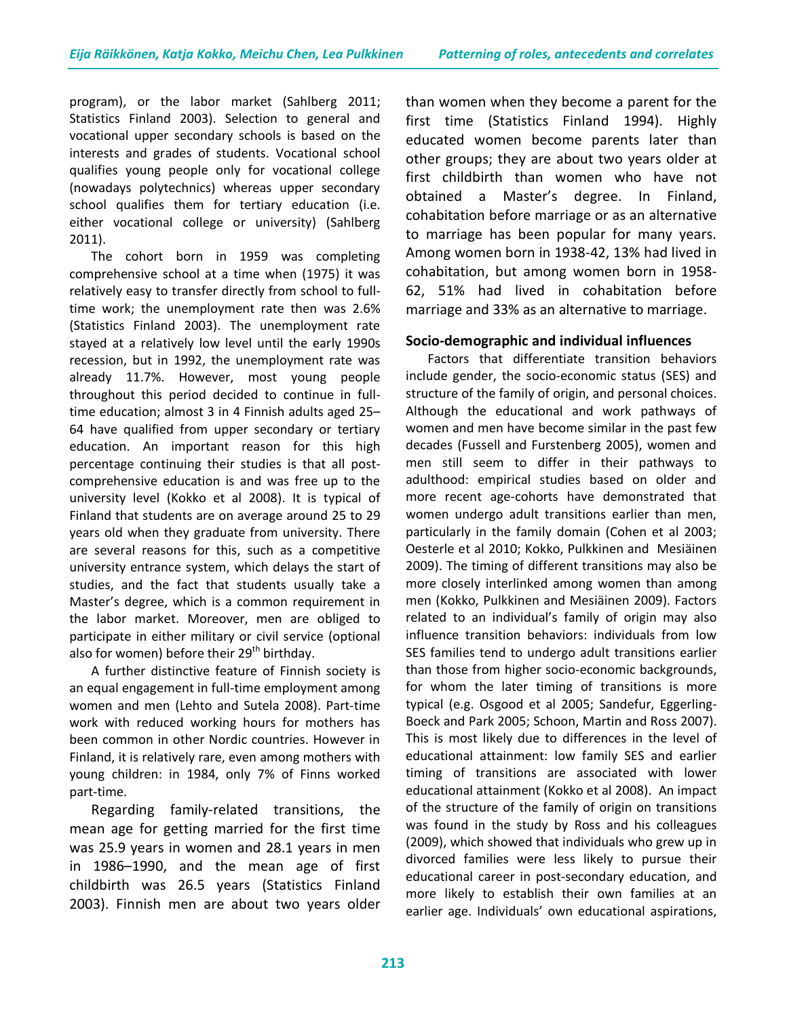program), or the labor market (Sahlberg 2011; Statistics Finland 2003). Selection to general and vocational upper secondary schools is based on the interests and grades of students. Vocational school qualifies young people only for vocational college (nowadays polytechnics) whereas upper secondary school qualifies them for tertiary education (i.e. either vocational college or university) (Sahlberg 2011).

The cohort born in 1959 was completing comprehensive school at a time when (1975) it was relatively easy to transfer directly from school to fulltime work; the unemployment rate then was 2.6% (Statistics Finland 2003). The unemployment rate stayed at a relatively low level until the early 1990s recession, but in 1992, the unemployment rate was already 11.7%. However, most young people throughout this period decided to continue in fulltime education; almost 3 in 4 Finnish adults aged 25– 64 have qualified from upper secondary or tertiary education. An important reason for this high percentage continuing their studies is that all postcomprehensive education is and was free up to the university level (Kokko et al 2008). It is typical of Finland that students are on average around 25 to 29 years old when they graduate from university. There are several reasons for this, such as a competitive university entrance system, which delays the start of studies, and the fact that students usually take a Master's degree, which is a common requirement in the labor market. Moreover, men are obliged to participate in either military or civil service (optional also for women) before their  $29<sup>th</sup>$  birthday.

A further distinctive feature of Finnish society is an equal engagement in full-time employment among women and men (Lehto and Sutela 2008). Part-time work with reduced working hours for mothers has been common in other Nordic countries. However in Finland, it is relatively rare, even among mothers with young children: in 1984, only 7% of Finns worked part-time.

Regarding family-related transitions, the mean age for getting married for the first time was 25.9 years in women and 28.1 years in men in 1986–1990, and the mean age of first childbirth was 26.5 years (Statistics Finland 2003). Finnish men are about two years older than women when they become a parent for the first time (Statistics Finland 1994). Highly educated women become parents later than other groups; they are about two years older at first childbirth than women who have not obtained a Master's degree. In Finland, cohabitation before marriage or as an alternative to marriage has been popular for many years. Among women born in 1938-42, 13% had lived in cohabitation, but among women born in 1958- 62, 51% had lived in cohabitation before marriage and 33% as an alternative to marriage.

## **Socio-demographic and individual influences**

Factors that differentiate transition behaviors include gender, the socio-economic status (SES) and structure of the family of origin, and personal choices. Although the educational and work pathways of women and men have become similar in the past few decades (Fussell and Furstenberg 2005), women and men still seem to differ in their pathways to adulthood: empirical studies based on older and more recent age-cohorts have demonstrated that women undergo adult transitions earlier than men, particularly in the family domain (Cohen et al 2003; Oesterle et al 2010; Kokko, Pulkkinen and Mesiäinen 2009). The timing of different transitions may also be more closely interlinked among women than among men (Kokko, Pulkkinen and Mesiäinen 2009). Factors related to an individual's family of origin may also influence transition behaviors: individuals from low SES families tend to undergo adult transitions earlier than those from higher socio-economic backgrounds, for whom the later timing of transitions is more typical (e.g. Osgood et al 2005; Sandefur, Eggerling-Boeck and Park 2005; Schoon, Martin and Ross 2007). This is most likely due to differences in the level of educational attainment: low family SES and earlier timing of transitions are associated with lower educational attainment (Kokko et al 2008). An impact of the structure of the family of origin on transitions was found in the study by Ross and his colleagues (2009), which showed that individuals who grew up in divorced families were less likely to pursue their educational career in post-secondary education, and more likely to establish their own families at an earlier age. Individuals' own educational aspirations,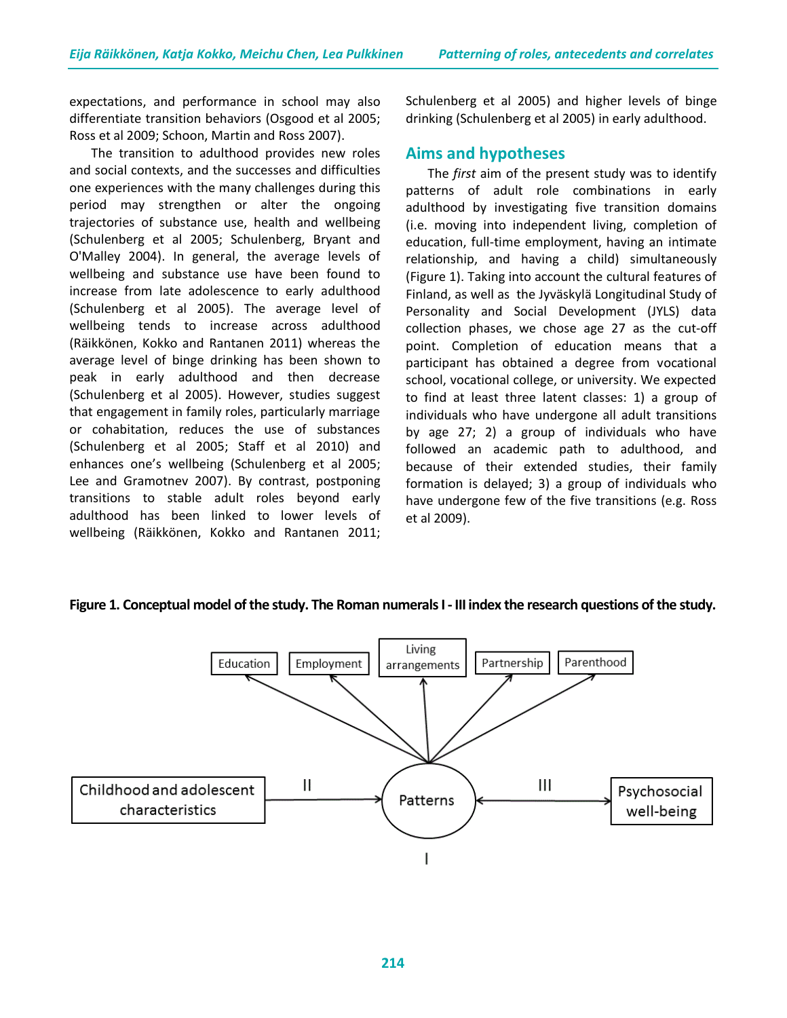expectations, and performance in school may also differentiate transition behaviors (Osgood et al 2005; Ross et al 2009; Schoon, Martin and Ross 2007).

The transition to adulthood provides new roles and social contexts, and the successes and difficulties one experiences with the many challenges during this period may strengthen or alter the ongoing trajectories of substance use, health and wellbeing (Schulenberg et al 2005; Schulenberg, Bryant and O'Malley 2004). In general, the average levels of wellbeing and substance use have been found to increase from late adolescence to early adulthood (Schulenberg et al 2005). The average level of wellbeing tends to increase across adulthood (Räikkönen, Kokko and Rantanen 2011) whereas the average level of binge drinking has been shown to peak in early adulthood and then decrease (Schulenberg et al 2005). However, studies suggest that engagement in family roles, particularly marriage or cohabitation, reduces the use of substances (Schulenberg et al 2005; Staff et al 2010) and enhances one's wellbeing (Schulenberg et al 2005; Lee and Gramotnev 2007). By contrast, postponing transitions to stable adult roles beyond early adulthood has been linked to lower levels of wellbeing (Räikkönen, Kokko and Rantanen 2011;

Schulenberg et al 2005) and higher levels of binge drinking (Schulenberg et al 2005) in early adulthood.

# **Aims and hypotheses**

The *first* aim of the present study was to identify patterns of adult role combinations in early adulthood by investigating five transition domains (i.e. moving into independent living, completion of education, full-time employment, having an intimate relationship, and having a child) simultaneously (Figure 1). Taking into account the cultural features of Finland, as well as the Jyväskylä Longitudinal Study of Personality and Social Development (JYLS) data collection phases, we chose age 27 as the cut-off point. Completion of education means that a participant has obtained a degree from vocational school, vocational college, or university. We expected to find at least three latent classes: 1) a group of individuals who have undergone all adult transitions by age 27; 2) a group of individuals who have followed an academic path to adulthood, and because of their extended studies, their family formation is delayed; 3) a group of individuals who have undergone few of the five transitions (e.g. Ross et al 2009).

# **Figure 1. Conceptual model of the study. The Roman numerals I - III index the research questions of the study.**

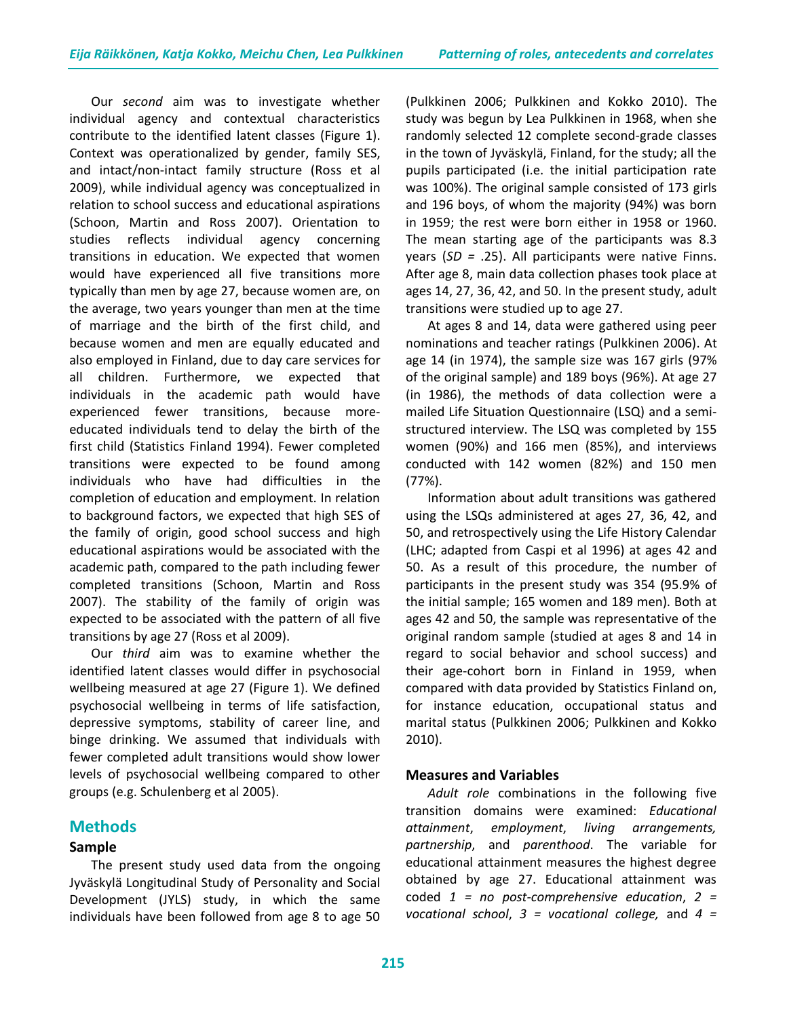Our *second* aim was to investigate whether individual agency and contextual characteristics contribute to the identified latent classes (Figure 1). Context was operationalized by gender, family SES, and intact/non-intact family structure (Ross et al 2009), while individual agency was conceptualized in relation to school success and educational aspirations (Schoon, Martin and Ross 2007). Orientation to studies reflects individual agency concerning transitions in education. We expected that women would have experienced all five transitions more typically than men by age 27, because women are, on the average, two years younger than men at the time of marriage and the birth of the first child, and because women and men are equally educated and also employed in Finland, due to day care services for all children. Furthermore, we expected that individuals in the academic path would have experienced fewer transitions, because moreeducated individuals tend to delay the birth of the first child (Statistics Finland 1994). Fewer completed transitions were expected to be found among individuals who have had difficulties in the completion of education and employment. In relation to background factors, we expected that high SES of the family of origin, good school success and high educational aspirations would be associated with the academic path, compared to the path including fewer completed transitions (Schoon, Martin and Ross 2007). The stability of the family of origin was expected to be associated with the pattern of all five transitions by age 27 (Ross et al 2009).

Our *third* aim was to examine whether the identified latent classes would differ in psychosocial wellbeing measured at age 27 (Figure 1). We defined psychosocial wellbeing in terms of life satisfaction, depressive symptoms, stability of career line, and binge drinking. We assumed that individuals with fewer completed adult transitions would show lower levels of psychosocial wellbeing compared to other groups (e.g. Schulenberg et al 2005).

# **Methods**

# **Sample**

The present study used data from the ongoing Jyväskylä Longitudinal Study of Personality and Social Development (JYLS) study, in which the same individuals have been followed from age 8 to age 50 (Pulkkinen 2006; Pulkkinen and Kokko 2010). The study was begun by Lea Pulkkinen in 1968, when she randomly selected 12 complete second-grade classes in the town of Jyväskylä, Finland, for the study; all the pupils participated (i.e. the initial participation rate was 100%). The original sample consisted of 173 girls and 196 boys, of whom the majority (94%) was born in 1959; the rest were born either in 1958 or 1960. The mean starting age of the participants was 8.3 years (*SD =* .25). All participants were native Finns. After age 8, main data collection phases took place at ages 14, 27, 36, 42, and 50. In the present study, adult transitions were studied up to age 27.

At ages 8 and 14, data were gathered using peer nominations and teacher ratings (Pulkkinen 2006). At age 14 (in 1974), the sample size was 167 girls (97% of the original sample) and 189 boys (96%). At age 27 (in 1986), the methods of data collection were a mailed Life Situation Questionnaire (LSQ) and a semistructured interview. The LSQ was completed by 155 women (90%) and 166 men (85%), and interviews conducted with 142 women (82%) and 150 men (77%).

Information about adult transitions was gathered using the LSQs administered at ages 27, 36, 42, and 50, and retrospectively using the Life History Calendar (LHC; adapted from Caspi et al 1996) at ages 42 and 50. As a result of this procedure, the number of participants in the present study was 354 (95.9% of the initial sample; 165 women and 189 men). Both at ages 42 and 50, the sample was representative of the original random sample (studied at ages 8 and 14 in regard to social behavior and school success) and their age-cohort born in Finland in 1959, when compared with data provided by Statistics Finland on, for instance education, occupational status and marital status (Pulkkinen 2006; Pulkkinen and Kokko 2010).

# **Measures and Variables**

*Adult role* combinations in the following five transition domains were examined: *Educational attainment*, *employment*, *living arrangements, partnership*, and *parenthood*. The variable for educational attainment measures the highest degree obtained by age 27. Educational attainment was coded *1 = no post-comprehensive education*, *2 = vocational school*, *3 = vocational college,* and *4 =*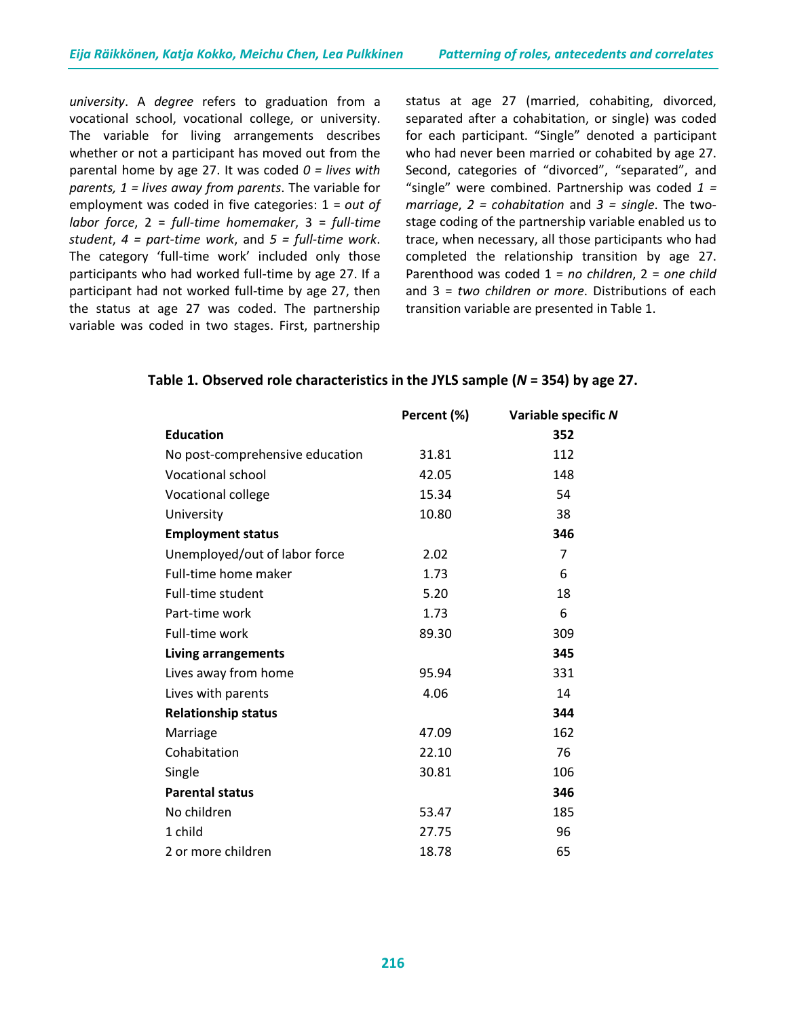*university*. A *degree* refers to graduation from a vocational school, vocational college, or university. The variable for living arrangements describes whether or not a participant has moved out from the parental home by age 27. It was coded *0 = lives with parents, 1 = lives away from parents*. The variable for employment was coded in five categories: 1 = *out of labor force*, 2 = *full-time homemaker*, 3 = *full-time student*, *4 = part-time work*, and *5 = full-time work*. The category 'full-time work' included only those participants who had worked full-time by age 27. If a participant had not worked full-time by age 27, then the status at age 27 was coded. The partnership variable was coded in two stages. First, partnership

status at age 27 (married, cohabiting, divorced, separated after a cohabitation, or single) was coded for each participant. "Single" denoted a participant who had never been married or cohabited by age 27. Second, categories of "divorced", "separated", and "single" were combined. Partnership was coded *1 = marriage*, *2 = cohabitation* and *3 = single*. The twostage coding of the partnership variable enabled us to trace, when necessary, all those participants who had completed the relationship transition by age 27. Parenthood was coded 1 = *no children*, 2 = *one child* and 3 = *two children or more*. Distributions of each transition variable are presented in Table 1.

|                                 | Percent (%) | Variable specific N |
|---------------------------------|-------------|---------------------|
| <b>Education</b>                |             | 352                 |
| No post-comprehensive education | 31.81       | 112                 |
| <b>Vocational school</b>        | 42.05       | 148                 |
| Vocational college              | 15.34       | 54                  |
| University                      | 10.80       | 38                  |
| <b>Employment status</b>        |             | 346                 |
| Unemployed/out of labor force   | 2.02        | 7                   |
| Full-time home maker            | 1.73        | 6                   |
| Full-time student               | 5.20        | 18                  |
| Part-time work                  | 1.73        | 6                   |
| Full-time work                  | 89.30       | 309                 |
| <b>Living arrangements</b>      |             | 345                 |
| Lives away from home            | 95.94       | 331                 |
| Lives with parents              | 4.06        | 14                  |
| <b>Relationship status</b>      |             | 344                 |
| Marriage                        | 47.09       | 162                 |
| Cohabitation                    | 22.10       | 76                  |
| Single                          | 30.81       | 106                 |
| <b>Parental status</b>          |             | 346                 |
| No children                     | 53.47       | 185                 |
| 1 child                         | 27.75       | 96                  |
| 2 or more children              | 18.78       | 65                  |

## **Table 1. Observed role characteristics in the JYLS sample (***N* **= 354) by age 27.**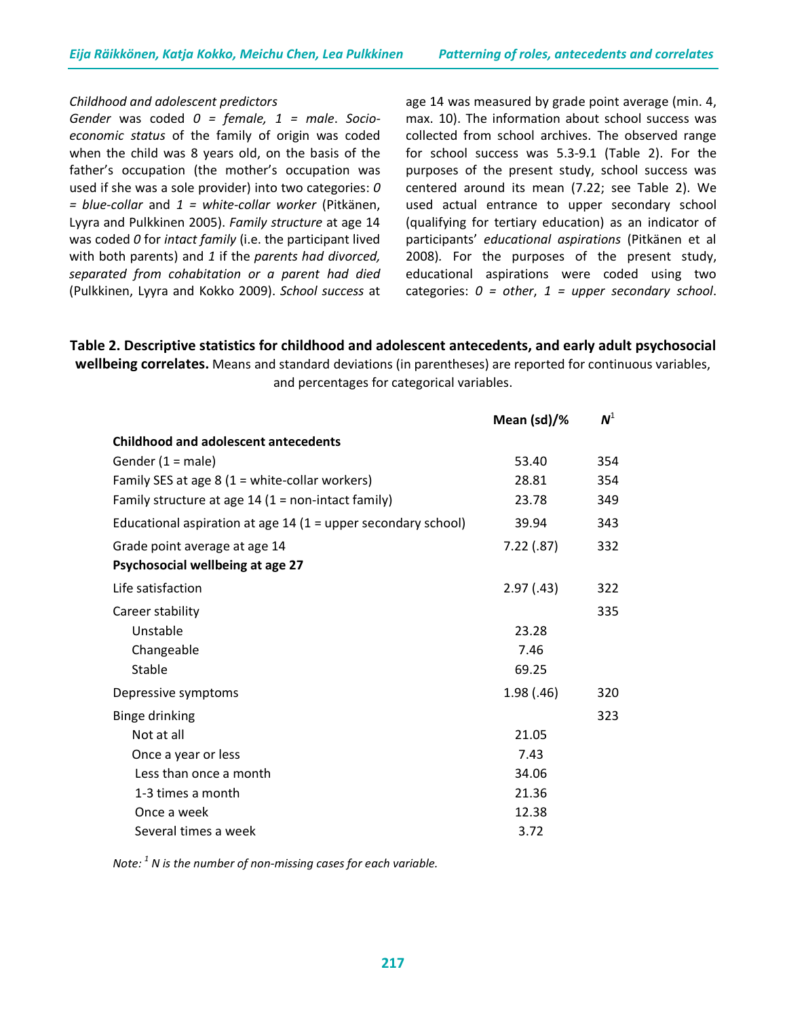#### *Childhood and adolescent predictors*

*Gender* was coded *0 = female, 1 = male*. *Socioeconomic status* of the family of origin was coded when the child was 8 years old, on the basis of the father's occupation (the mother's occupation was used if she was a sole provider) into two categories: *0 = blue-collar* and *1 = white-collar worker* (Pitkänen, Lyyra and Pulkkinen 2005). *Family structure* at age 14 was coded *0* for *intact family* (i.e. the participant lived with both parents) and *1* if the *parents had divorced, separated from cohabitation or a parent had died* (Pulkkinen, Lyyra and Kokko 2009). *School success* at

age 14 was measured by grade point average (min. 4, max. 10). The information about school success was collected from school archives. The observed range for school success was 5.3-9.1 (Table 2). For the purposes of the present study, school success was centered around its mean (7.22; see Table 2). We used actual entrance to upper secondary school (qualifying for tertiary education) as an indicator of participants' *educational aspirations* (Pitkänen et al 2008)*.* For the purposes of the present study, educational aspirations were coded using two categories: *0 = other*, *1 = upper secondary school*.

**Table 2. Descriptive statistics for childhood and adolescent antecedents, and early adult psychosocial wellbeing correlates.** Means and standard deviations (in parentheses) are reported for continuous variables, and percentages for categorical variables.

|                                                                 | Mean (sd)/% | $N^1$ |
|-----------------------------------------------------------------|-------------|-------|
| <b>Childhood and adolescent antecedents</b>                     |             |       |
| Gender $(1 = male)$                                             | 53.40       | 354   |
| Family SES at age 8 $(1 = white$ -collar workers)               | 28.81       | 354   |
| Family structure at age $14$ (1 = non-intact family)            | 23.78       | 349   |
| Educational aspiration at age $14$ (1 = upper secondary school) | 39.94       | 343   |
| Grade point average at age 14                                   | 7.22(.87)   | 332   |
| Psychosocial wellbeing at age 27                                |             |       |
| Life satisfaction                                               | 2.97(0.43)  | 322   |
| Career stability                                                |             | 335   |
| Unstable                                                        | 23.28       |       |
| Changeable                                                      | 7.46        |       |
| Stable                                                          | 69.25       |       |
| Depressive symptoms                                             | 1.98(0.46)  | 320   |
| <b>Binge drinking</b>                                           |             | 323   |
| Not at all                                                      | 21.05       |       |
| Once a year or less                                             | 7.43        |       |
| Less than once a month                                          | 34.06       |       |
| 1-3 times a month                                               | 21.36       |       |
| Once a week                                                     | 12.38       |       |
| Several times a week                                            | 3.72        |       |

*Note: 1 N is the number of non-missing cases for each variable.*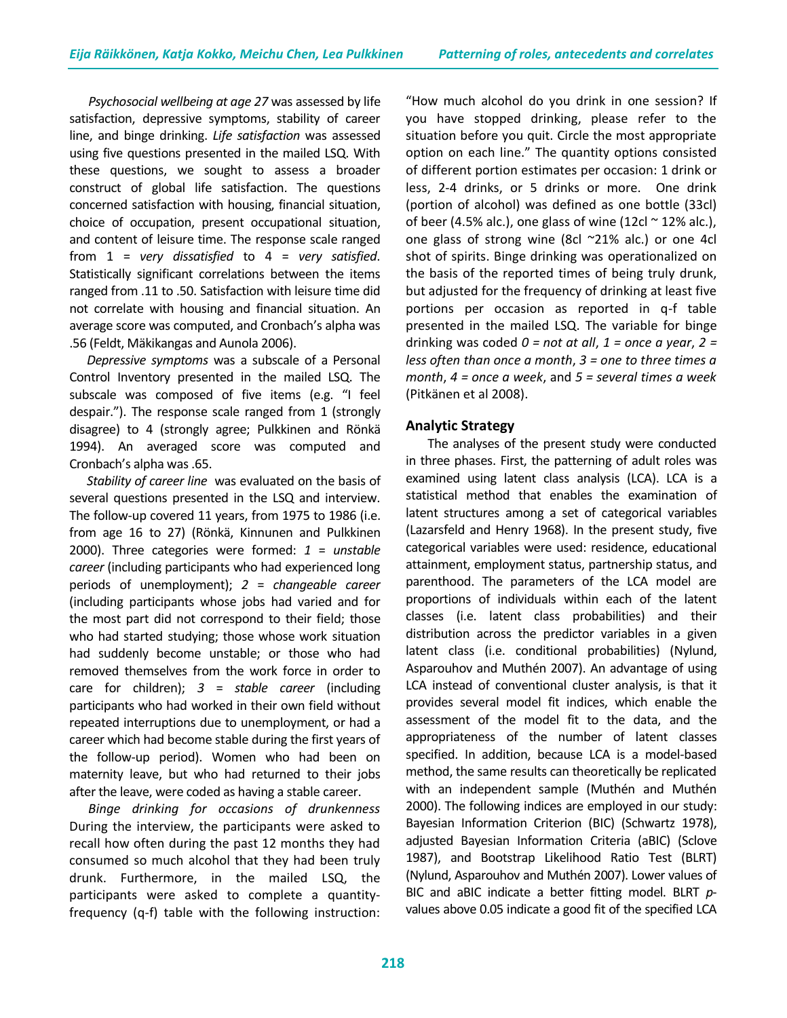*Psychosocial wellbeing at age 27* was assessed by life satisfaction, depressive symptoms, stability of career line, and binge drinking. *Life satisfaction* was assessed using five questions presented in the mailed LSQ. With these questions, we sought to assess a broader construct of global life satisfaction. The questions concerned satisfaction with housing, financial situation, choice of occupation, present occupational situation, and content of leisure time. The response scale ranged from 1 = *very dissatisfied* to 4 = *very satisfied*. Statistically significant correlations between the items ranged from .11 to .50. Satisfaction with leisure time did not correlate with housing and financial situation. An average score was computed, and Cronbach's alpha was .56 (Feldt, Mäkikangas and Aunola 2006).

 *Depressive symptoms* was a subscale of a Personal Control Inventory presented in the mailed LSQ. The subscale was composed of five items (e.g. "I feel despair."). The response scale ranged from 1 (strongly disagree) to 4 (strongly agree; Pulkkinen and Rönkä 1994). An averaged score was computed and Cronbach's alpha was .65.

 *Stability of career line* was evaluated on the basis of several questions presented in the LSQ and interview. The follow-up covered 11 years, from 1975 to 1986 (i.e. from age 16 to 27) (Rönkä, Kinnunen and Pulkkinen 2000). Three categories were formed: *1* = *unstable career* (including participants who had experienced long periods of unemployment); *2* = *changeable career* (including participants whose jobs had varied and for the most part did not correspond to their field; those who had started studying; those whose work situation had suddenly become unstable; or those who had removed themselves from the work force in order to care for children); *3* = *stable career* (including participants who had worked in their own field without repeated interruptions due to unemployment, or had a career which had become stable during the first years of the follow-up period). Women who had been on maternity leave, but who had returned to their jobs after the leave, were coded as having a stable career.

 *Binge drinking for occasions of drunkenness* During the interview, the participants were asked to recall how often during the past 12 months they had consumed so much alcohol that they had been truly drunk. Furthermore, in the mailed LSQ, the participants were asked to complete a quantityfrequency (q-f) table with the following instruction: "How much alcohol do you drink in one session? If you have stopped drinking, please refer to the situation before you quit. Circle the most appropriate option on each line." The quantity options consisted of different portion estimates per occasion: 1 drink or less, 2-4 drinks, or 5 drinks or more. One drink (portion of alcohol) was defined as one bottle (33cl) of beer (4.5% alc.), one glass of wine (12cl  $\sim$  12% alc.), one glass of strong wine (8cl ~21% alc.) or one 4cl shot of spirits. Binge drinking was operationalized on the basis of the reported times of being truly drunk, but adjusted for the frequency of drinking at least five portions per occasion as reported in q-f table presented in the mailed LSQ. The variable for binge drinking was coded *0 = not at all*, *1 = once a year*, *2 = less often than once a month*, *3 = one to three times a month*, *4 = once a week*, and *5 = several times a week* (Pitkänen et al 2008).

## **Analytic Strategy**

The analyses of the present study were conducted in three phases. First, the patterning of adult roles was examined using latent class analysis (LCA). LCA is a statistical method that enables the examination of latent structures among a set of categorical variables (Lazarsfeld and Henry 1968). In the present study, five categorical variables were used: residence, educational attainment, employment status, partnership status, and parenthood. The parameters of the LCA model are proportions of individuals within each of the latent classes (i.e. latent class probabilities) and their distribution across the predictor variables in a given latent class (i.e. conditional probabilities) (Nylund, Asparouhov and Muthén 2007). An advantage of using LCA instead of conventional cluster analysis, is that it provides several model fit indices, which enable the assessment of the model fit to the data, and the appropriateness of the number of latent classes specified. In addition, because LCA is a model-based method, the same results can theoretically be replicated with an independent sample (Muthén and Muthén 2000). The following indices are employed in our study: Bayesian Information Criterion (BIC) (Schwartz 1978), adjusted Bayesian Information Criteria (aBIC) (Sclove 1987), and Bootstrap Likelihood Ratio Test (BLRT) (Nylund, Asparouhov and Muthén 2007). Lower values of BIC and aBIC indicate a better fitting model. BLRT *p*values above 0.05 indicate a good fit of the specified LCA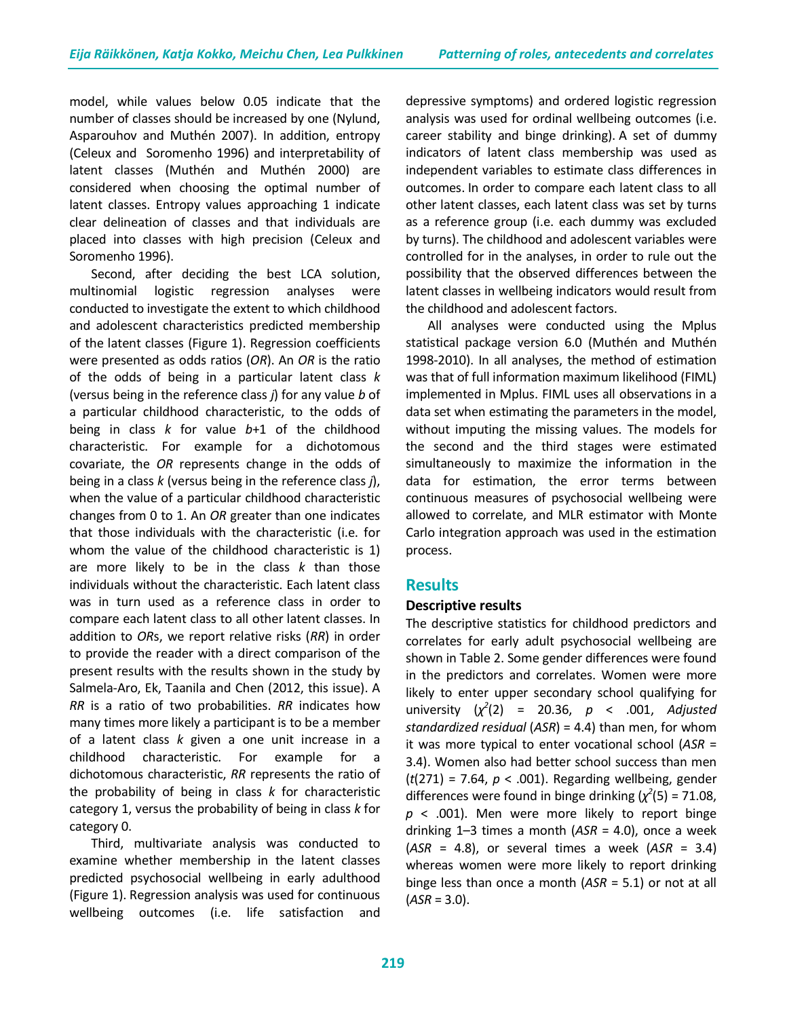model, while values below 0.05 indicate that the number of classes should be increased by one (Nylund, Asparouhov and Muthén 2007). In addition, entropy (Celeux and Soromenho 1996) and interpretability of latent classes (Muthén and Muthén 2000) are considered when choosing the optimal number of latent classes. Entropy values approaching 1 indicate clear delineation of classes and that individuals are placed into classes with high precision (Celeux and Soromenho 1996).

Second, after deciding the best LCA solution, multinomial logistic regression analyses were conducted to investigate the extent to which childhood and adolescent characteristics predicted membership of the latent classes (Figure 1). Regression coefficients were presented as odds ratios (*OR*). An *OR* is the ratio of the odds of being in a particular latent class *k* (versus being in the reference class *j*) for any value *b* of a particular childhood characteristic, to the odds of being in class *k* for value *b*+1 of the childhood characteristic. For example for a dichotomous covariate, the *OR* represents change in the odds of being in a class *k* (versus being in the reference class *j*), when the value of a particular childhood characteristic changes from 0 to 1. An *OR* greater than one indicates that those individuals with the characteristic (i.e. for whom the value of the childhood characteristic is 1) are more likely to be in the class *k* than those individuals without the characteristic. Each latent class was in turn used as a reference class in order to compare each latent class to all other latent classes. In addition to *OR*s, we report relative risks (*RR*) in order to provide the reader with a direct comparison of the present results with the results shown in the study by Salmela-Aro, Ek, Taanila and Chen (2012, this issue). A *RR* is a ratio of two probabilities. *RR* indicates how many times more likely a participant is to be a member of a latent class *k* given a one unit increase in a childhood characteristic. For example for a dichotomous characteristic, *RR* represents the ratio of the probability of being in class *k* for characteristic category 1, versus the probability of being in class *k* for category 0.

Third, multivariate analysis was conducted to examine whether membership in the latent classes predicted psychosocial wellbeing in early adulthood (Figure 1). Regression analysis was used for continuous wellbeing outcomes (i.e. life satisfaction and depressive symptoms) and ordered logistic regression analysis was used for ordinal wellbeing outcomes (i.e. career stability and binge drinking). A set of dummy indicators of latent class membership was used as independent variables to estimate class differences in outcomes. In order to compare each latent class to all other latent classes, each latent class was set by turns as a reference group (i.e. each dummy was excluded by turns). The childhood and adolescent variables were controlled for in the analyses, in order to rule out the possibility that the observed differences between the latent classes in wellbeing indicators would result from the childhood and adolescent factors.

All analyses were conducted using the Mplus statistical package version 6.0 (Muthén and Muthén 1998-2010). In all analyses, the method of estimation was that of full information maximum likelihood (FIML) implemented in Mplus. FIML uses all observations in a data set when estimating the parameters in the model, without imputing the missing values. The models for the second and the third stages were estimated simultaneously to maximize the information in the data for estimation, the error terms between continuous measures of psychosocial wellbeing were allowed to correlate, and MLR estimator with Monte Carlo integration approach was used in the estimation process.

# **Results**

#### **Descriptive results**

The descriptive statistics for childhood predictors and correlates for early adult psychosocial wellbeing are shown in Table 2. Some gender differences were found in the predictors and correlates. Women were more likely to enter upper secondary school qualifying for university  $(\chi^2(2) = 20.36, p < .001,$  *Adjusted standardized residual* (*ASR*) = 4.4) than men, for whom it was more typical to enter vocational school (*ASR* = 3.4). Women also had better school success than men (*t*(271) = 7.64, *p* < .001). Regarding wellbeing, gender differences were found in binge drinking  $(\chi^2(5) = 71.08)$ , *p* < .001). Men were more likely to report binge drinking 1–3 times a month (*ASR* = 4.0), once a week (*ASR* = 4.8), or several times a week (*ASR* = 3.4) whereas women were more likely to report drinking binge less than once a month (*ASR* = 5.1) or not at all (*ASR* = 3.0).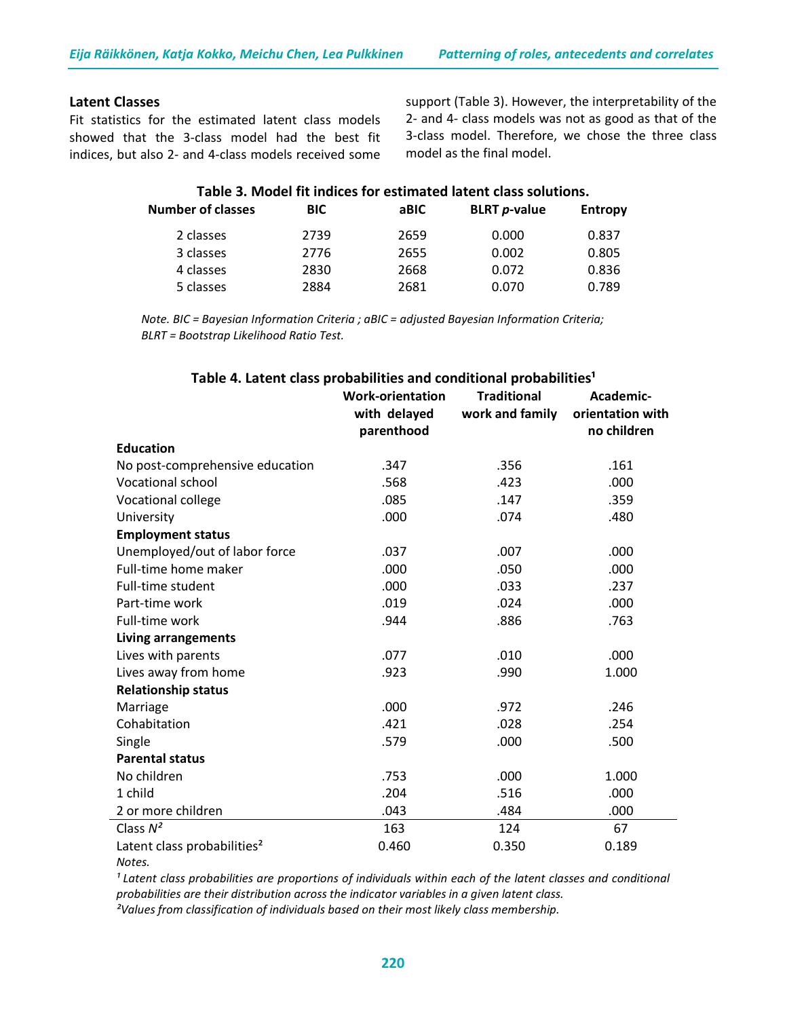#### **Latent Classes**

Fit statistics for the estimated latent class models showed that the 3-class model had the best fit indices, but also 2- and 4-class models received some support (Table 3). However, the interpretability of the 2- and 4- class models was not as good as that of the 3-class model. Therefore, we chose the three class model as the final model.

| Table 3. Model fit indices for estimated latent class solutions. |            |      |                             |                |  |
|------------------------------------------------------------------|------------|------|-----------------------------|----------------|--|
| <b>Number of classes</b>                                         | <b>BIC</b> | aBIC | <b>BLRT</b> <i>p</i> -value | <b>Entropy</b> |  |
| 2 classes                                                        | 2739       | 2659 | 0.000                       | 0.837          |  |
| 3 classes                                                        | 2776       | 2655 | 0.002                       | 0.805          |  |
| 4 classes                                                        | 2830       | 2668 | 0.072                       | 0.836          |  |
| 5 classes                                                        | 2884       | 2681 | 0.070                       | 0.789          |  |

*Note. BIC = Bayesian Information Criteria ; aBIC = adjusted Bayesian Information Criteria; BLRT = Bootstrap Likelihood Ratio Test.*

|                                         | <b>Work-orientation</b><br>with delayed<br>parenthood | <b>Traditional</b><br>work and family | Academic-<br>orientation with<br>no children |
|-----------------------------------------|-------------------------------------------------------|---------------------------------------|----------------------------------------------|
| <b>Education</b>                        |                                                       |                                       |                                              |
| No post-comprehensive education         | .347                                                  | .356                                  | .161                                         |
| <b>Vocational school</b>                | .568                                                  | .423                                  | .000                                         |
| Vocational college                      | .085                                                  | .147                                  | .359                                         |
| University                              | .000                                                  | .074                                  | .480                                         |
| <b>Employment status</b>                |                                                       |                                       |                                              |
| Unemployed/out of labor force           | .037                                                  | .007                                  | .000                                         |
| Full-time home maker                    | .000                                                  | .050                                  | .000                                         |
| Full-time student                       | .000                                                  | .033                                  | .237                                         |
| Part-time work                          | .019                                                  | .024                                  | .000                                         |
| Full-time work                          | .944                                                  | .886                                  | .763                                         |
| Living arrangements                     |                                                       |                                       |                                              |
| Lives with parents                      | .077                                                  | .010                                  | .000                                         |
| Lives away from home                    | .923                                                  | .990                                  | 1.000                                        |
| <b>Relationship status</b>              |                                                       |                                       |                                              |
| Marriage                                | .000                                                  | .972                                  | .246                                         |
| Cohabitation                            | .421                                                  | .028                                  | .254                                         |
| Single                                  | .579                                                  | .000                                  | .500                                         |
| <b>Parental status</b>                  |                                                       |                                       |                                              |
| No children                             | .753                                                  | .000                                  | 1.000                                        |
| 1 child                                 | .204                                                  | .516                                  | .000                                         |
| 2 or more children                      | .043                                                  | .484                                  | .000                                         |
| Class $N^2$                             | 163                                                   | 124                                   | 67                                           |
| Latent class probabilities <sup>2</sup> | 0.460                                                 | 0.350                                 | 0.189                                        |
| Notes.                                  |                                                       |                                       |                                              |

#### Table 4. Latent class probabilities and conditional probabilities<sup>1</sup>

<sup>1</sup> Latent class probabilities are proportions of individuals within each of the latent classes and conditional *probabilities are their distribution across the indicator variables in a given latent class.* 

*²Values from classification of individuals based on their most likely class membership.*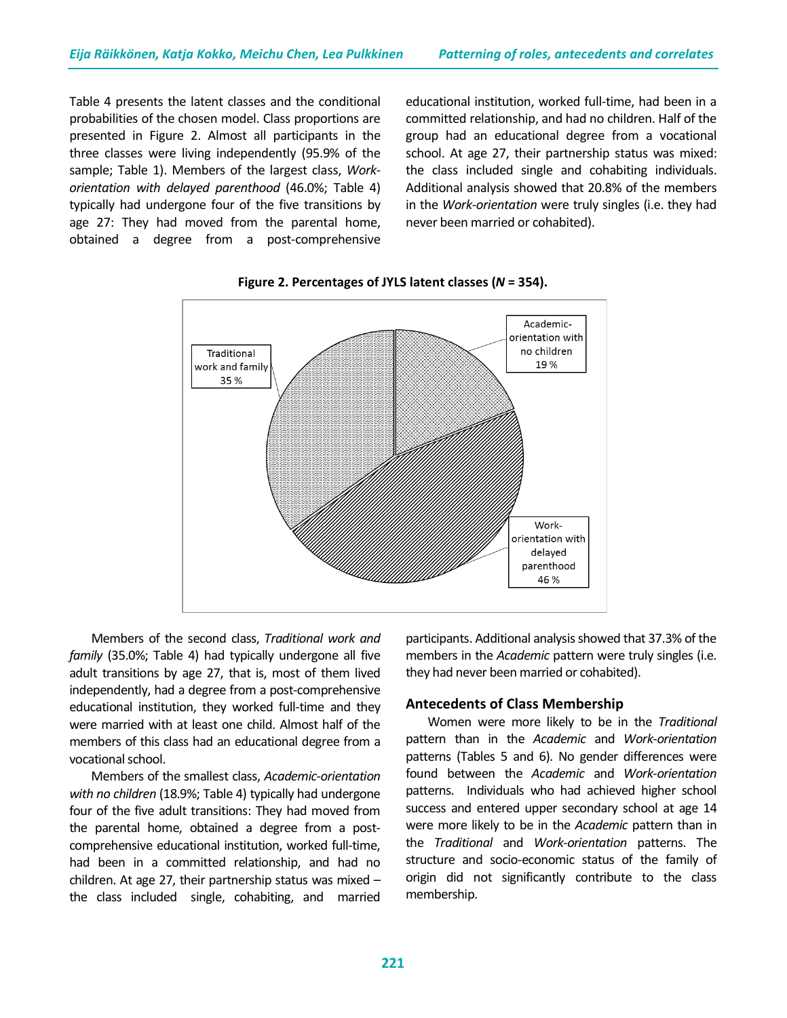Table 4 presents the latent classes and the conditional probabilities of the chosen model. Class proportions are presented in Figure 2. Almost all participants in the three classes were living independently (95.9% of the sample; Table 1). Members of the largest class, *Workorientation with delayed parenthood* (46.0%; Table 4) typically had undergone four of the five transitions by age 27: They had moved from the parental home, obtained a degree from a post-comprehensive educational institution, worked full-time, had been in a committed relationship, and had no children. Half of the group had an educational degree from a vocational school. At age 27, their partnership status was mixed: the class included single and cohabiting individuals. Additional analysis showed that 20.8% of the members in the *Work-orientation* were truly singles (i.e. they had never been married or cohabited).



**Figure 2. Percentages of JYLS latent classes (***N* **= 354).**

Members of the second class, *Traditional work and family* (35.0%; Table 4) had typically undergone all five adult transitions by age 27, that is, most of them lived independently, had a degree from a post-comprehensive educational institution, they worked full-time and they were married with at least one child. Almost half of the members of this class had an educational degree from a vocational school.

Members of the smallest class, *Academic-orientation with no children* (18.9%; Table 4) typically had undergone four of the five adult transitions: They had moved from the parental home, obtained a degree from a postcomprehensive educational institution, worked full-time, had been in a committed relationship, and had no children. At age 27, their partnership status was mixed – the class included single, cohabiting, and married participants. Additional analysis showed that 37.3% of the members in the *Academic* pattern were truly singles (i.e. they had never been married or cohabited).

#### **Antecedents of Class Membership**

Women were more likely to be in the *Traditional* pattern than in the *Academic* and *Work-orientation* patterns (Tables 5 and 6). No gender differences were found between the *Academic* and *Work-orientation* patterns. Individuals who had achieved higher school success and entered upper secondary school at age 14 were more likely to be in the *Academic* pattern than in the *Traditional* and *Work-orientation* patterns. The structure and socio-economic status of the family of origin did not significantly contribute to the class membership.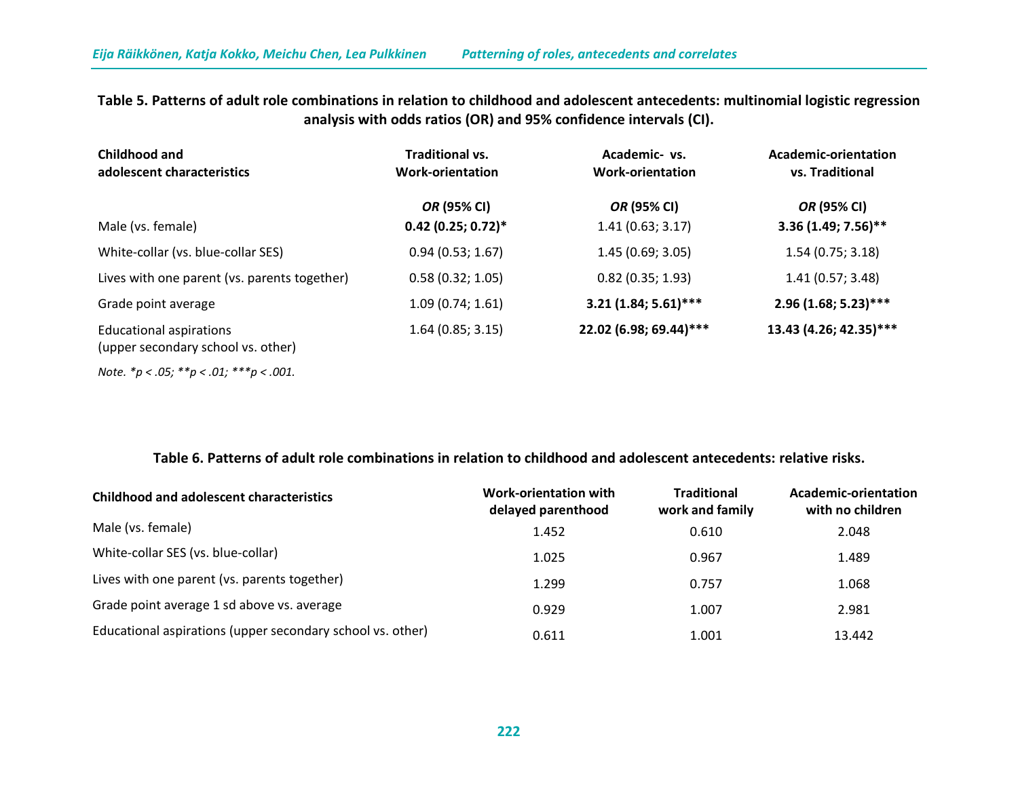**Table 5. Patterns of adult role combinations in relation to childhood and adolescent antecedents: multinomial logistic regression analysis with odds ratios (OR) and 95% confidence intervals (CI).**

| Childhood and<br>adolescent characteristics                          | <b>Traditional vs.</b><br><b>Work-orientation</b> | Academic- vs.<br><b>Work-orientation</b> | Academic-orientation<br>vs. Traditional |  |
|----------------------------------------------------------------------|---------------------------------------------------|------------------------------------------|-----------------------------------------|--|
|                                                                      | OR (95% CI)                                       | <i>OR</i> (95% CI)                       | <i>OR</i> (95% CI)                      |  |
| Male (vs. female)                                                    | $0.42$ (0.25; 0.72)*                              | 1.41(0.63; 3.17)                         | 3.36 (1.49; 7.56)**                     |  |
| White-collar (vs. blue-collar SES)                                   | 0.94(0.53; 1.67)                                  | 1.45(0.69; 3.05)                         | 1.54(0.75; 3.18)                        |  |
| Lives with one parent (vs. parents together)                         | 0.58(0.32; 1.05)                                  | $0.82$ (0.35; 1.93)                      | 1.41(0.57; 3.48)                        |  |
| Grade point average                                                  | 1.09(0.74; 1.61)                                  | $3.21(1.84; 5.61)$ ***                   | $2.96(1.68; 5.23)$ ***                  |  |
| <b>Educational aspirations</b><br>(upper secondary school vs. other) | 1.64(0.85; 3.15)                                  | 22.02 (6.98; 69.44)***                   | 13.43 (4.26; 42.35)***                  |  |
| Note. $*_{p} < .05;$ $**_{p} < .01;$ $***_{p} < .001$ .              |                                                   |                                          |                                         |  |

**Table 6. Patterns of adult role combinations in relation to childhood and adolescent antecedents: relative risks.**

| <b>Childhood and adolescent characteristics</b>            | Work-orientation with<br>delayed parenthood | <b>Traditional</b><br>work and family | Academic-orientation<br>with no children |
|------------------------------------------------------------|---------------------------------------------|---------------------------------------|------------------------------------------|
| Male (vs. female)                                          | 1.452                                       | 0.610                                 | 2.048                                    |
| White-collar SES (vs. blue-collar)                         | 1.025                                       | 0.967                                 | 1.489                                    |
| Lives with one parent (vs. parents together)               | 1.299                                       | 0.757                                 | 1.068                                    |
| Grade point average 1 sd above vs. average                 | 0.929                                       | 1.007                                 | 2.981                                    |
| Educational aspirations (upper secondary school vs. other) | 0.611                                       | 1.001                                 | 13.442                                   |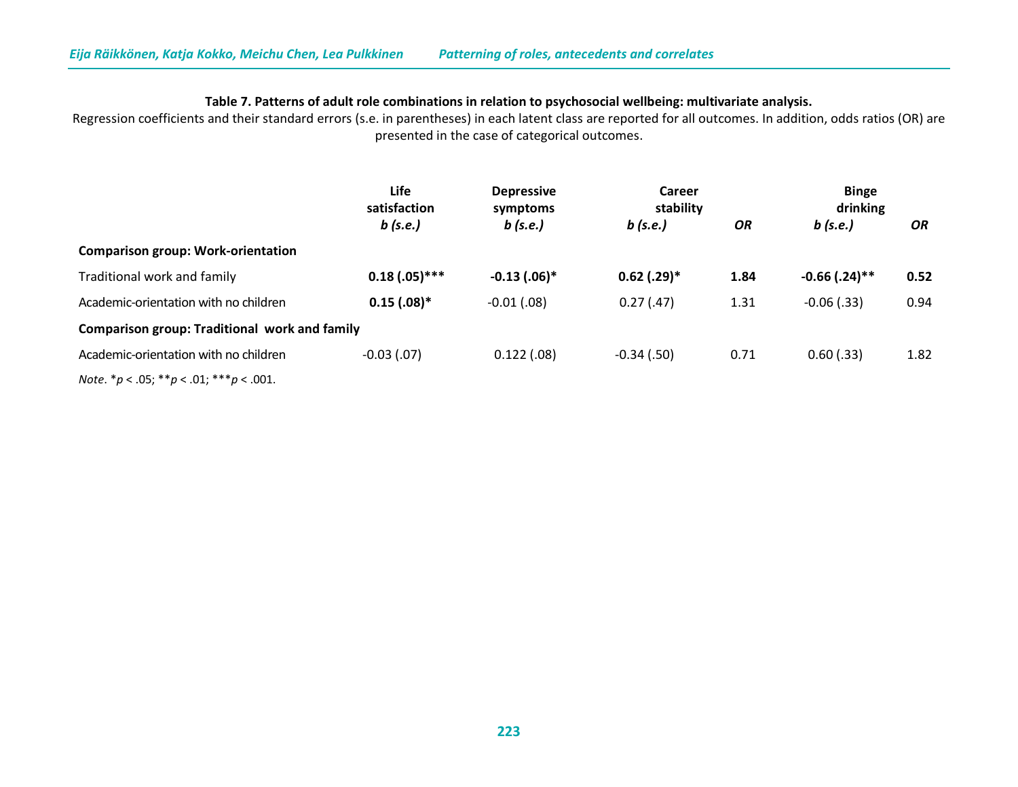## **Table 7. Patterns of adult role combinations in relation to psychosocial wellbeing: multivariate analysis.**

Regression coefficients and their standard errors (s.e. in parentheses) in each latent class are reported for all outcomes. In addition, odds ratios (OR) are presented in the case of categorical outcomes.

|                                                      | Life<br>satisfaction<br>$b$ (s.e.) | <b>Depressive</b><br>symptoms<br>$b$ (s.e.) | Career<br>stability |      | <b>Binge</b><br>drinking |      |
|------------------------------------------------------|------------------------------------|---------------------------------------------|---------------------|------|--------------------------|------|
|                                                      |                                    |                                             | $b$ (s.e.)          | OR   | $b$ (s.e.)               | OR.  |
| <b>Comparison group: Work-orientation</b>            |                                    |                                             |                     |      |                          |      |
| Traditional work and family                          | $0.18(.05)$ ***                    | $-0.13$ $(.06)*$                            | $0.62$ (.29)*       | 1.84 | $-0.66$ (.24)**          | 0.52 |
| Academic-orientation with no children                | $0.15(.08)*$                       | $-0.01$ (.08)                               | 0.27(0.47)          | 1.31 | $-0.06$ (.33)            | 0.94 |
| <b>Comparison group: Traditional work and family</b> |                                    |                                             |                     |      |                          |      |
| Academic-orientation with no children                | $-0.03$ (.07)                      | 0.122(.08)                                  | $-0.34$ (.50)       | 0.71 | $0.60$ (.33)             | 1.82 |
| <i>Note.</i> $* p < .05; * p < .01; * * p < .001.$   |                                    |                                             |                     |      |                          |      |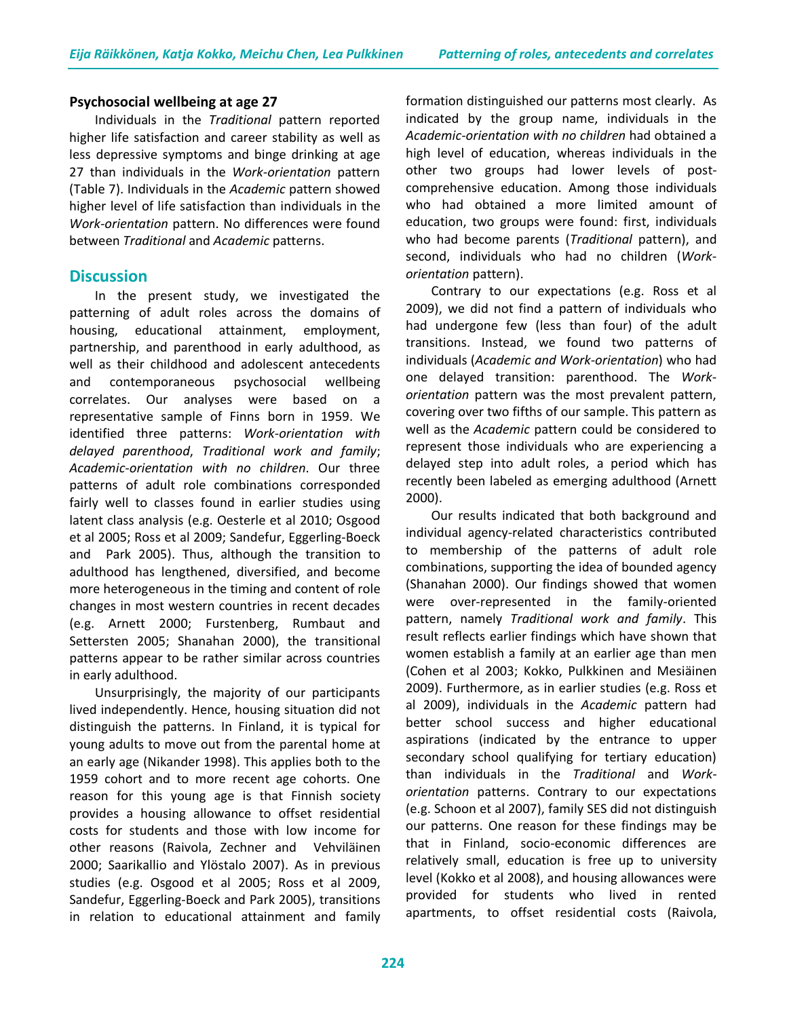#### **Psychosocial wellbeing at age 27**

Individuals in the *Traditional* pattern reported higher life satisfaction and career stability as well as less depressive symptoms and binge drinking at age 27 than individuals in the *Work-orientation* pattern (Table 7). Individuals in the *Academic* pattern showed higher level of life satisfaction than individuals in the *Work-orientation* pattern. No differences were found between *Traditional* and *Academic* patterns.

## **Discussion**

In the present study, we investigated the patterning of adult roles across the domains of housing, educational attainment, employment, partnership, and parenthood in early adulthood, as well as their childhood and adolescent antecedents and contemporaneous psychosocial wellbeing correlates. Our analyses were based on a representative sample of Finns born in 1959. We identified three patterns: *Work-orientation with delayed parenthood*, *Traditional work and family*; *Academic-orientation with no children*. Our three patterns of adult role combinations corresponded fairly well to classes found in earlier studies using latent class analysis (e.g. Oesterle et al 2010; Osgood et al 2005; Ross et al 2009; Sandefur, Eggerling-Boeck and Park 2005). Thus, although the transition to adulthood has lengthened, diversified, and become more heterogeneous in the timing and content of role changes in most western countries in recent decades (e.g. Arnett 2000; Furstenberg, Rumbaut and Settersten 2005; Shanahan 2000), the transitional patterns appear to be rather similar across countries in early adulthood.

Unsurprisingly, the majority of our participants lived independently. Hence, housing situation did not distinguish the patterns. In Finland, it is typical for young adults to move out from the parental home at an early age (Nikander 1998). This applies both to the 1959 cohort and to more recent age cohorts. One reason for this young age is that Finnish society provides a housing allowance to offset residential costs for students and those with low income for other reasons (Raivola, Zechner and Vehviläinen 2000; Saarikallio and Ylöstalo 2007). As in previous studies (e.g. Osgood et al 2005; Ross et al 2009, Sandefur, Eggerling-Boeck and Park 2005), transitions in relation to educational attainment and family formation distinguished our patterns most clearly. As indicated by the group name, individuals in the *Academic-orientation with no children* had obtained a high level of education, whereas individuals in the other two groups had lower levels of postcomprehensive education. Among those individuals who had obtained a more limited amount of education, two groups were found: first, individuals who had become parents (*Traditional* pattern), and second, individuals who had no children (*Workorientation* pattern).

Contrary to our expectations (e.g. Ross et al 2009), we did not find a pattern of individuals who had undergone few (less than four) of the adult transitions. Instead, we found two patterns of individuals (*Academic and Work-orientation*) who had one delayed transition: parenthood. The *Workorientation* pattern was the most prevalent pattern, covering over two fifths of our sample. This pattern as well as the *Academic* pattern could be considered to represent those individuals who are experiencing a delayed step into adult roles, a period which has recently been labeled as emerging adulthood (Arnett 2000).

Our results indicated that both background and individual agency-related characteristics contributed to membership of the patterns of adult role combinations, supporting the idea of bounded agency (Shanahan 2000). Our findings showed that women were over-represented in the family-oriented pattern, namely *Traditional work and family*. This result reflects earlier findings which have shown that women establish a family at an earlier age than men (Cohen et al 2003; Kokko, Pulkkinen and Mesiäinen 2009). Furthermore, as in earlier studies (e.g. Ross et al 2009), individuals in the *Academic* pattern had better school success and higher educational aspirations (indicated by the entrance to upper secondary school qualifying for tertiary education) than individuals in the *Traditional* and *Workorientation* patterns. Contrary to our expectations (e.g. Schoon et al 2007), family SES did not distinguish our patterns. One reason for these findings may be that in Finland, socio-economic differences are relatively small, education is free up to university level (Kokko et al 2008), and housing allowances were provided for students who lived in rented apartments, to offset residential costs (Raivola,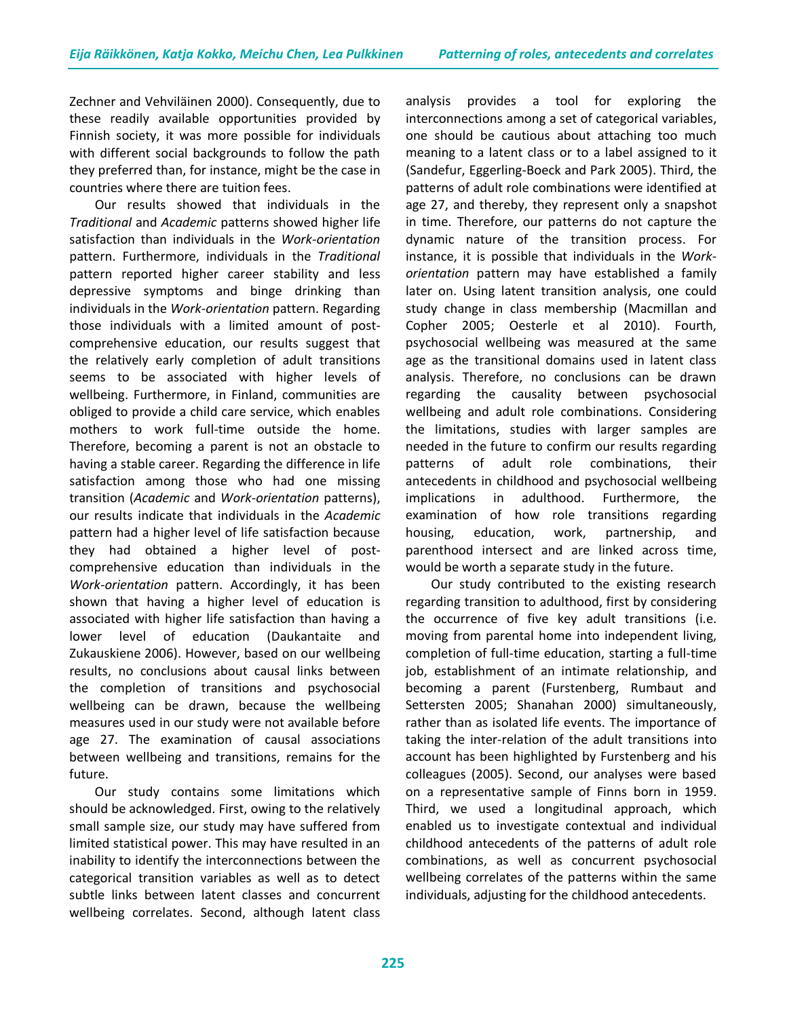Zechner and Vehviläinen 2000). Consequently, due to these readily available opportunities provided by Finnish society, it was more possible for individuals with different social backgrounds to follow the path they preferred than, for instance, might be the case in countries where there are tuition fees.

Our results showed that individuals in the *Traditional* and *Academic* patterns showed higher life satisfaction than individuals in the *Work-orientation*  pattern. Furthermore, individuals in the *Traditional*  pattern reported higher career stability and less depressive symptoms and binge drinking than individuals in the *Work-orientation* pattern. Regarding those individuals with a limited amount of postcomprehensive education, our results suggest that the relatively early completion of adult transitions seems to be associated with higher levels of wellbeing. Furthermore, in Finland, communities are obliged to provide a child care service, which enables mothers to work full-time outside the home. Therefore, becoming a parent is not an obstacle to having a stable career. Regarding the difference in life satisfaction among those who had one missing transition (*Academic* and *Work-orientation* patterns), our results indicate that individuals in the *Academic* pattern had a higher level of life satisfaction because they had obtained a higher level of postcomprehensive education than individuals in the *Work-orientation* pattern. Accordingly, it has been shown that having a higher level of education is associated with higher life satisfaction than having a lower level of education (Daukantaite and Zukauskiene 2006). However, based on our wellbeing results, no conclusions about causal links between the completion of transitions and psychosocial wellbeing can be drawn, because the wellbeing measures used in our study were not available before age 27. The examination of causal associations between wellbeing and transitions, remains for the future.

Our study contains some limitations which should be acknowledged. First, owing to the relatively small sample size, our study may have suffered from limited statistical power. This may have resulted in an inability to identify the interconnections between the categorical transition variables as well as to detect subtle links between latent classes and concurrent wellbeing correlates. Second, although latent class

analysis provides a tool for exploring the interconnections among a set of categorical variables, one should be cautious about attaching too much meaning to a latent class or to a label assigned to it (Sandefur, Eggerling-Boeck and Park 2005). Third, the patterns of adult role combinations were identified at age 27, and thereby, they represent only a snapshot in time. Therefore, our patterns do not capture the dynamic nature of the transition process. For instance, it is possible that individuals in the *Workorientation* pattern may have established a family later on. Using latent transition analysis, one could study change in class membership (Macmillan and Copher 2005; Oesterle et al 2010). Fourth, psychosocial wellbeing was measured at the same age as the transitional domains used in latent class analysis. Therefore, no conclusions can be drawn regarding the causality between psychosocial wellbeing and adult role combinations. Considering the limitations, studies with larger samples are needed in the future to confirm our results regarding patterns of adult role combinations, their antecedents in childhood and psychosocial wellbeing implications in adulthood. Furthermore, the examination of how role transitions regarding housing, education, work, partnership, and parenthood intersect and are linked across time, would be worth a separate study in the future.

Our study contributed to the existing research regarding transition to adulthood, first by considering the occurrence of five key adult transitions (i.e. moving from parental home into independent living, completion of full-time education, starting a full-time job, establishment of an intimate relationship, and becoming a parent (Furstenberg, Rumbaut and Settersten 2005; Shanahan 2000) simultaneously, rather than as isolated life events. The importance of taking the inter-relation of the adult transitions into account has been highlighted by Furstenberg and his colleagues (2005). Second, our analyses were based on a representative sample of Finns born in 1959. Third, we used a longitudinal approach, which enabled us to investigate contextual and individual childhood antecedents of the patterns of adult role combinations, as well as concurrent psychosocial wellbeing correlates of the patterns within the same individuals, adjusting for the childhood antecedents.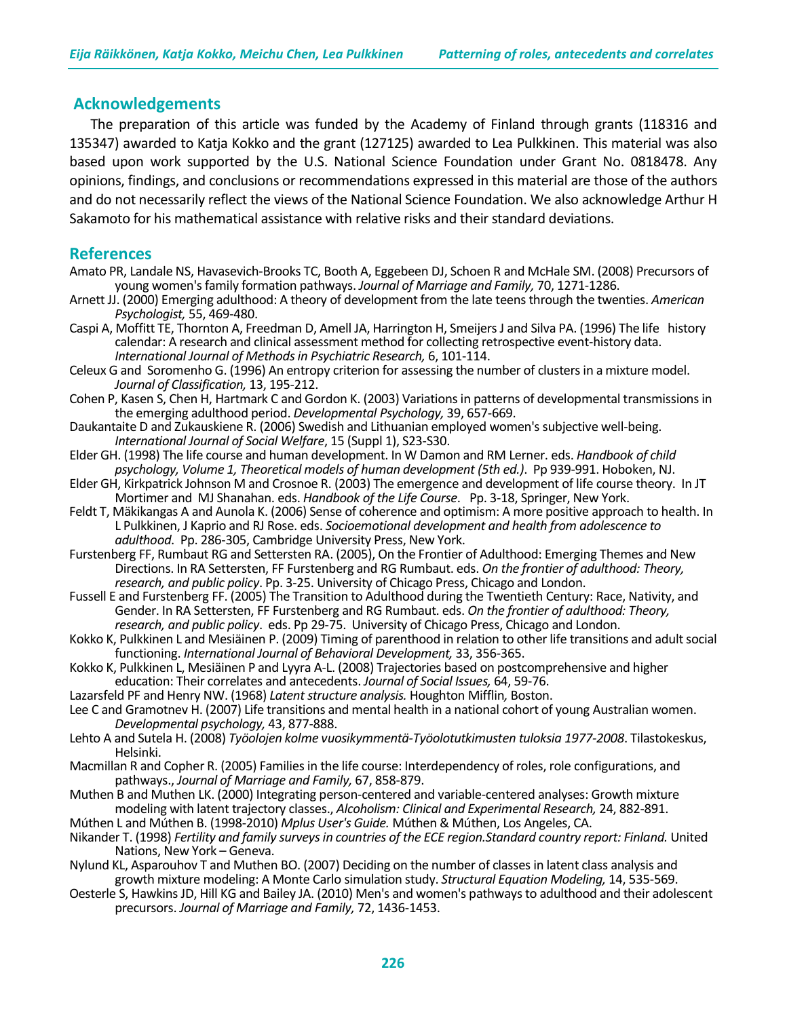# **Acknowledgements**

 The preparation of this article was funded by the Academy of Finland through grants (118316 and 135347) awarded to Katja Kokko and the grant (127125) awarded to Lea Pulkkinen. This material was also based upon work supported by the U.S. National Science Foundation under Grant No. 0818478. Any opinions, findings, and conclusions or recommendations expressed in this material are those of the authors and do not necessarily reflect the views of the National Science Foundation. We also acknowledge Arthur H Sakamoto for his mathematical assistance with relative risks and their standard deviations.

## **References**

- Amato PR, Landale NS, Havasevich-Brooks TC, Booth A, Eggebeen DJ, Schoen R and McHale SM. (2008) Precursors of young women's family formation pathways. *Journal of Marriage and Family,* 70, 1271-1286.
- Arnett JJ. (2000) Emerging adulthood: A theory of development from the late teens through the twenties. *American Psychologist,* 55, 469-480.
- Caspi A, Moffitt TE, Thornton A, Freedman D, Amell JA, Harrington H, Smeijers J and Silva PA. (1996) The life history calendar: A research and clinical assessment method for collecting retrospective event-history data. *International Journal of Methods in Psychiatric Research,* 6, 101-114.
- Celeux G and Soromenho G. (1996) An entropy criterion for assessing the number of clusters in a mixture model. *Journal of Classification,* 13, 195-212.
- Cohen P, Kasen S, Chen H, Hartmark C and Gordon K. (2003) Variations in patterns of developmental transmissions in the emerging adulthood period. *Developmental Psychology,* 39, 657-669.
- Daukantaite D and Zukauskiene R. (2006) Swedish and Lithuanian employed women's subjective well-being. *International Journal of Social Welfare*, 15 (Suppl 1), S23-S30.
- Elder GH. (1998) The life course and human development. In W Damon and RM Lerner. eds. *Handbook of child psychology, Volume 1, Theoretical models of human development (5th ed.)*. Pp 939-991. Hoboken, NJ.
- Elder GH, Kirkpatrick Johnson M and Crosnoe R. (2003) The emergence and development of life course theory. In JT Mortimer and MJ Shanahan. eds. *Handbook of the Life Course*. Pp. 3-18, Springer, New York.
- Feldt T, Mäkikangas A and Aunola K. (2006) Sense of coherence and optimism: A more positive approach to health. In L Pulkkinen, J Kaprio and RJ Rose. eds. *Socioemotional development and health from adolescence to adulthood*. Pp. 286-305, Cambridge University Press, New York.
- Furstenberg FF, Rumbaut RG and Settersten RA. (2005), On the Frontier of Adulthood: Emerging Themes and New Directions. In RA Settersten, FF Furstenberg and RG Rumbaut. eds. *On the frontier of adulthood: Theory, research, and public policy*. Pp. 3-25. University of Chicago Press, Chicago and London.
- Fussell E and Furstenberg FF. (2005) The Transition to Adulthood during the Twentieth Century: Race, Nativity, and Gender. In RA Settersten, FF Furstenberg and RG Rumbaut. eds. *On the frontier of adulthood: Theory, research, and public policy*. eds. Pp 29-75. University of Chicago Press, Chicago and London.
- Kokko K, Pulkkinen L and Mesiäinen P. (2009) Timing of parenthood in relation to other life transitions and adult social functioning. *International Journal of Behavioral Development,* 33, 356-365.
- Kokko K, Pulkkinen L, Mesiäinen P and Lyyra A-L. (2008) Trajectories based on postcomprehensive and higher education: Their correlates and antecedents. *Journal of Social Issues,* 64, 59-76.
- Lazarsfeld PF and Henry NW. (1968) *Latent structure analysis.* Houghton Mifflin*,* Boston.
- Lee C and Gramotnev H. (2007) Life transitions and mental health in a national cohort of young Australian women. *Developmental psychology,* 43, 877-888.
- Lehto A and Sutela H. (2008) *Työolojen kolme vuosikymmentä-Työolotutkimusten tuloksia 1977-2008*. Tilastokeskus, Helsinki.
- Macmillan R and Copher R. (2005) Families in the life course: Interdependency of roles, role configurations, and pathways., *Journal of Marriage and Family,* 67, 858-879.
- Muthen B and Muthen LK. (2000) Integrating person-centered and variable-centered analyses: Growth mixture modeling with latent trajectory classes., *Alcoholism: Clinical and Experimental Research,* 24, 882-891. Múthen L and Múthen B. (1998-2010) *Mplus User's Guide.* Múthen & Múthen, Los Angeles, CA.
- Nikander T. (1998) *Fertility and family surveys in countries of the ECE region.Standard country report: Finland.* United Nations, New York – Geneva.
- Nylund KL, Asparouhov T and Muthen BO. (2007) Deciding on the number of classes in latent class analysis and growth mixture modeling: A Monte Carlo simulation study. *Structural Equation Modeling,* 14, 535-569.
- Oesterle S, Hawkins JD, Hill KG and Bailey JA. (2010) Men's and women's pathways to adulthood and their adolescent precursors. *Journal of Marriage and Family,* 72, 1436-1453.